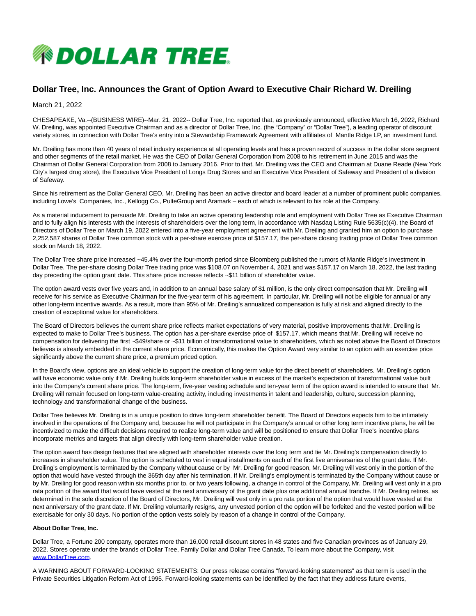

## **Dollar Tree, Inc. Announces the Grant of Option Award to Executive Chair Richard W. Dreiling**

March 21, 2022

CHESAPEAKE, Va.--(BUSINESS WIRE)--Mar. 21, 2022-- Dollar Tree, Inc. reported that, as previously announced, effective March 16, 2022, Richard W. Dreiling, was appointed Executive Chairman and as a director of Dollar Tree, Inc. (the "Company" or "Dollar Tree"), a leading operator of discount variety stores, in connection with Dollar Tree's entry into a Stewardship Framework Agreement with affiliates of Mantle Ridge LP, an investment fund.

Mr. Dreiling has more than 40 years of retail industry experience at all operating levels and has a proven record of success in the dollar store segment and other segments of the retail market. He was the CEO of Dollar General Corporation from 2008 to his retirement in June 2015 and was the Chairman of Dollar General Corporation from 2008 to January 2016. Prior to that, Mr. Dreiling was the CEO and Chairman at Duane Reade (New York City's largest drug store), the Executive Vice President of Longs Drug Stores and an Executive Vice President of Safeway and President of a division of Safeway.

Since his retirement as the Dollar General CEO, Mr. Dreiling has been an active director and board leader at a number of prominent public companies, including Lowe's Companies, Inc., Kellogg Co., PulteGroup and Aramark – each of which is relevant to his role at the Company.

As a material inducement to persuade Mr. Dreiling to take an active operating leadership role and employment with Dollar Tree as Executive Chairman and to fully align his interests with the interests of shareholders over the long term, in accordance with Nasdaq Listing Rule 5635(c)(4), the Board of Directors of Dollar Tree on March 19, 2022 entered into a five-year employment agreement with Mr. Dreiling and granted him an option to purchase 2,252,587 shares of Dollar Tree common stock with a per-share exercise price of \$157.17, the per-share closing trading price of Dollar Tree common stock on March 18, 2022.

The Dollar Tree share price increased ~45.4% over the four-month period since Bloomberg published the rumors of Mantle Ridge's investment in Dollar Tree. The per-share closing Dollar Tree trading price was \$108.07 on November 4, 2021 and was \$157.17 on March 18, 2022, the last trading day preceding the option grant date. This share price increase reflects ~\$11 billion of shareholder value.

The option award vests over five years and, in addition to an annual base salary of \$1 million, is the only direct compensation that Mr. Dreiling will receive for his service as Executive Chairman for the five-year term of his agreement. In particular, Mr. Dreiling will not be eligible for annual or any other long-term incentive awards. As a result, more than 95% of Mr. Dreiling's annualized compensation is fully at risk and aligned directly to the creation of exceptional value for shareholders.

The Board of Directors believes the current share price reflects market expectations of very material, positive improvements that Mr. Dreiling is expected to make to Dollar Tree's business. The option has a per-share exercise price of \$157.17, which means that Mr. Dreiling will receive no compensation for delivering the first ~\$49/share or ~\$11 billion of transformational value to shareholders, which as noted above the Board of Directors believes is already embedded in the current share price. Economically, this makes the Option Award very similar to an option with an exercise price significantly above the current share price, a premium priced option.

In the Board's view, options are an ideal vehicle to support the creation of long-term value for the direct benefit of shareholders. Mr. Dreiling's option will have economic value only if Mr. Dreiling builds long-term shareholder value in excess of the market's expectation of transformational value built into the Company's current share price. The long-term, five-year vesting schedule and ten-year term of the option award is intended to ensure that Mr. Dreiling will remain focused on long-term value-creating activity, including investments in talent and leadership, culture, succession planning, technology and transformational change of the business.

Dollar Tree believes Mr. Dreiling is in a unique position to drive long-term shareholder benefit. The Board of Directors expects him to be intimately involved in the operations of the Company and, because he will not participate in the Company's annual or other long term incentive plans, he will be incentivized to make the difficult decisions required to realize long-term value and will be positioned to ensure that Dollar Tree's incentive plans incorporate metrics and targets that align directly with long-term shareholder value creation.

The option award has design features that are aligned with shareholder interests over the long term and tie Mr. Dreiling's compensation directly to increases in shareholder value. The option is scheduled to vest in equal installments on each of the first five anniversaries of the grant date. If Mr. Dreiling's employment is terminated by the Company without cause or by Mr. Dreiling for good reason, Mr. Dreiling will vest only in the portion of the option that would have vested through the 365th day after his termination. If Mr. Dreiling's employment is terminated by the Company without cause or by Mr. Dreiling for good reason within six months prior to, or two years following, a change in control of the Company, Mr. Dreiling will vest only in a pro rata portion of the award that would have vested at the next anniversary of the grant date plus one additional annual tranche. If Mr. Dreiling retires, as determined in the sole discretion of the Board of Directors, Mr. Dreiling will vest only in a pro rata portion of the option that would have vested at the next anniversary of the grant date. If Mr. Dreiling voluntarily resigns, any unvested portion of the option will be forfeited and the vested portion will be exercisable for only 30 days. No portion of the option vests solely by reason of a change in control of the Company.

## **About Dollar Tree, Inc.**

Dollar Tree, a Fortune 200 company, operates more than 16,000 retail discount stores in 48 states and five Canadian provinces as of January 29, 2022. Stores operate under the brands of Dollar Tree, Family Dollar and Dollar Tree Canada. To learn more about the Company, visit [www.DollarTree.com.](https://cts.businesswire.com/ct/CT?id=smartlink&url=http%3A%2F%2Fwww.DollarTree.com&esheet=52606939&newsitemid=20220320005016&lan=en-US&anchor=www.DollarTree.com&index=1&md5=94c2597768cc6e8286a8fe213c2d0946)

A WARNING ABOUT FORWARD-LOOKING STATEMENTS: Our press release contains "forward-looking statements" as that term is used in the Private Securities Litigation Reform Act of 1995. Forward-looking statements can be identified by the fact that they address future events,